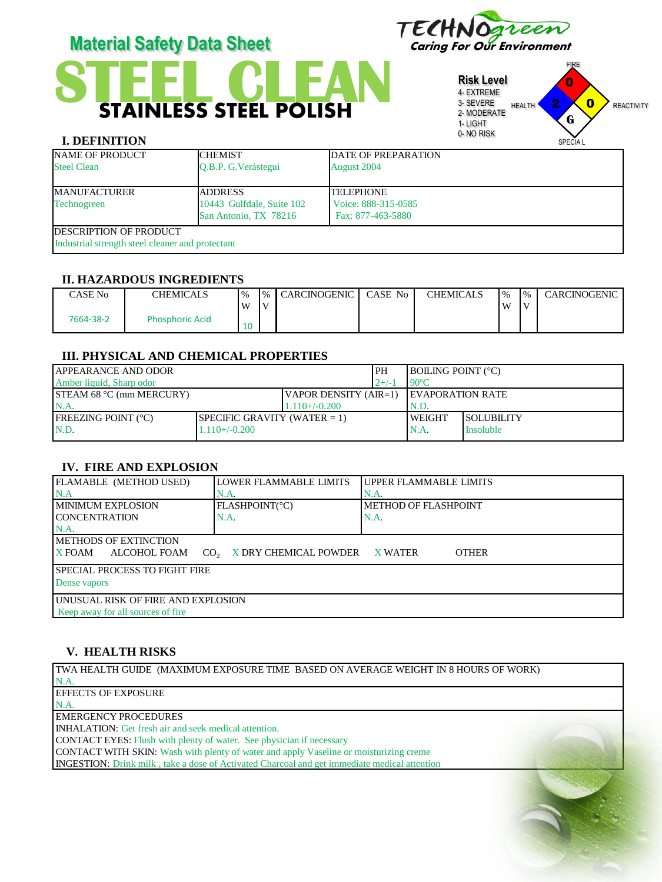

# **STAINLESS STEEL POLISH Material Safety Data Sheet** Caring For Our Environment

**Risk Level** 4- EXTREME 3- SEVERE 2- MODERATE 1- LIGHT 0- NO RISK FIRE HEALTH **Z X 0** REACTIVITY SPECIA I 2 0  $\mathbf{0}$ **G**

# **I. DEFINITION**

| <b>NAME OF PRODUCT</b><br><b>Steel Clean</b>                                       | <b>CHEMIST</b><br>O.B.P. G. Verástegui                               | <b>DATE OF PREPARATION</b><br><b>August 2004</b>             |
|------------------------------------------------------------------------------------|----------------------------------------------------------------------|--------------------------------------------------------------|
| <b>MANUFACTURER</b><br>Technogreen                                                 | <b>ADDRESS</b><br>10443 Gulfdale, Suite 102<br>San Antonio, TX 78216 | <b>TELEPHONE</b><br>Voice: 888-315-0585<br>Fax: 877-463-5880 |
| <b>IDESCRIPTION OF PRODUCT</b><br>Industrial strength steel cleaner and protectant |                                                                      |                                                              |

#### **II. HAZARDOUS INGREDIENTS**

| $\bigcirc$ ASE No | CHEMICALS              | $\frac{1}{6}$ | $\frac{1}{6}$ | <b>CARCINOGENIC</b> | CASE No | <b>CHEMICALS</b> | $\frac{10}{6}$ | $\frac{10}{6}$ | CARCINOGENIC |
|-------------------|------------------------|---------------|---------------|---------------------|---------|------------------|----------------|----------------|--------------|
|                   |                        | W             | $\mathbf{I}$  |                     |         |                  | W              | $\mathbf{V}$   |              |
| 7664-38-2         | <b>Phosphoric Acid</b> | 10            |               |                     |         |                  |                |                |              |

#### **III. PHYSICAL AND CHEMICAL PROPERTIES**

| <b>LAPPEARANCE AND ODOR</b>     |                                 |                       | l PH     | <b>BOILING POINT (°C)</b> |                   |
|---------------------------------|---------------------------------|-----------------------|----------|---------------------------|-------------------|
| Amber liquid. Sharp odor        |                                 |                       | $12+/-1$ | $90^{\circ}$ C            |                   |
| <b>STEAM 68 °C (mm MERCURY)</b> |                                 | VAPOR DENSITY (AIR=1) |          | <b>IEVAPORATION RATE</b>  |                   |
| N.A                             |                                 | $1.110+/-0.200$       |          | N.D.                      |                   |
| <b>IFREEZING POINT (°C)</b>     | SPECIFIC GRAVITY (WATER $= 1$ ) |                       |          | <b>WEIGHT</b>             | <b>SOLUBILITY</b> |
| N.D.                            | $1.110 + (-0.200)$              |                       |          | N.A.                      | <b>Insoluble</b>  |
|                                 |                                 |                       |          |                           |                   |

#### **IV. FIRE AND EXPLOSION**

| FLAMABLE (METHOD USED)                                                                | LOWER FLAMMABLE LIMITS | UPPER FLAMMABLE LIMITS |  |  |
|---------------------------------------------------------------------------------------|------------------------|------------------------|--|--|
| N.A                                                                                   | N.A.                   | N.A.                   |  |  |
| <b>IMINIMUM EXPLOSION</b>                                                             | FLASHPOINT(°C)         | METHOD OF FLASHPOINT   |  |  |
| <b>ICONCENTRATION</b>                                                                 | N.A.                   | N.A.                   |  |  |
| $NA$ .                                                                                |                        |                        |  |  |
| <b>IMETHODS OF EXTINCTION</b>                                                         |                        |                        |  |  |
| CO, X DRY CHEMICAL POWDER<br><b>X</b> FOAM<br>ALCOHOL FOAM<br><b>OTHER</b><br>X WATER |                        |                        |  |  |
| <b>ISPECIAL PROCESS TO FIGHT FIRE</b>                                                 |                        |                        |  |  |
| Dense vapors                                                                          |                        |                        |  |  |
| UNUSUAL RISK OF FIRE AND EXPLOSION                                                    |                        |                        |  |  |
| Keep away for all sources of fire                                                     |                        |                        |  |  |
|                                                                                       |                        |                        |  |  |

## **V. HEALTH RISKS**

TWA HEALTH GUIDE (MAXIMUM EXPOSURE TIME BASED ON AVERAGE WEIGHT IN 8 HOURS OF WORK)

N.A. EFFECTS OF EXPOSURE

N.A.

EMERGENCY PROCEDURES

INHALATION: Get fresh air and seek medical attention.

CONTACT EYES: Flush with plenty of water. See physician if necessary

CONTACT WITH SKIN: Wash with plenty of water and apply Vaseline or moisturizing creme

INGESTION: Drink milk , take a dose of Activated Charcoal and get immediate medical attention